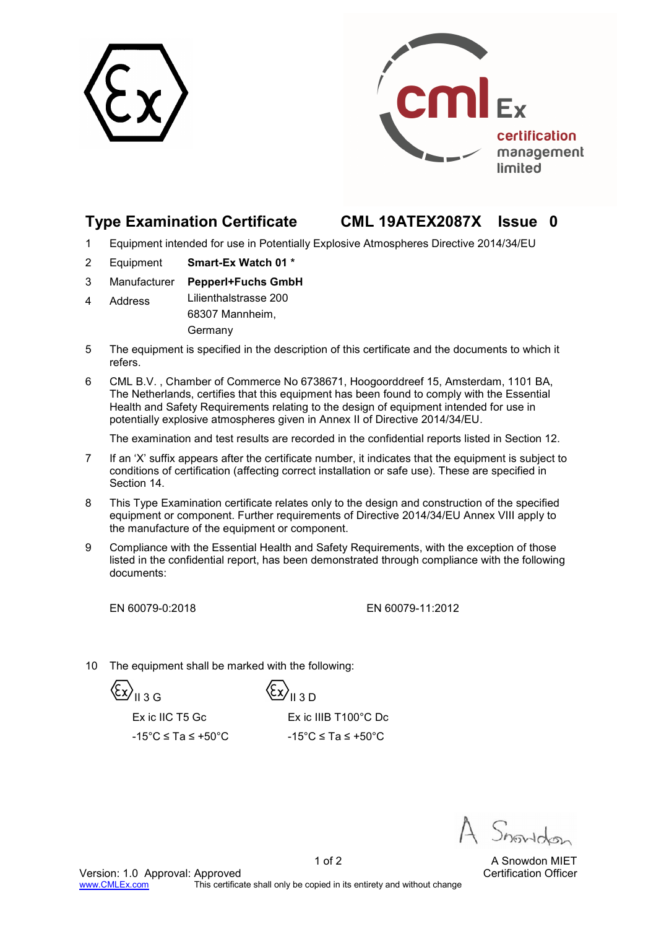



## **Type Examination Certificate CML 19ATEX2087X Issue 0**

- 1 Equipment intended for use in Potentially Explosive Atmospheres Directive 2014/34/EU
- 2 Equipment **Smart-Ex Watch 01 \***
- 3 Manufacturer **Pepperl+Fuchs GmbH**
- 4 Address Lilienthalstrasse 200 68307 Mannheim, Germany
- 5 The equipment is specified in the description of this certificate and the documents to which it refers.
- 6 CML B.V. , Chamber of Commerce No 6738671, Hoogoorddreef 15, Amsterdam, 1101 BA, The Netherlands, certifies that this equipment has been found to comply with the Essential Health and Safety Requirements relating to the design of equipment intended for use in potentially explosive atmospheres given in Annex II of Directive 2014/34/EU.

The examination and test results are recorded in the confidential reports listed in Section 12.

- 7 If an 'X' suffix appears after the certificate number, it indicates that the equipment is subject to conditions of certification (affecting correct installation or safe use). These are specified in Section 14.
- 8 This Type Examination certificate relates only to the design and construction of the specified equipment or component. Further requirements of Directive 2014/34/EU Annex VIII apply to the manufacture of the equipment or component.
- 9 Compliance with the Essential Health and Safety Requirements, with the exception of those listed in the confidential report, has been demonstrated through compliance with the following documents:

EN 60079-0:2018 EN 60079-11:2012

10 The equipment shall be marked with the following:

 $\langle \xi \chi \rangle_{\rm Il\,3\,G}$   $\langle \xi \chi \rangle_{\rm Il\,3\,D}$ 

Ex ic IIC T5 Gc Ex ic IIIB T100°C Dc

 $-15^{\circ}$ C ≤ Ta ≤ +50 $^{\circ}$ C -15 $^{\circ}$ C ≤ Ta ≤ +50 $^{\circ}$ C

1 of 2 A Snowdon MIET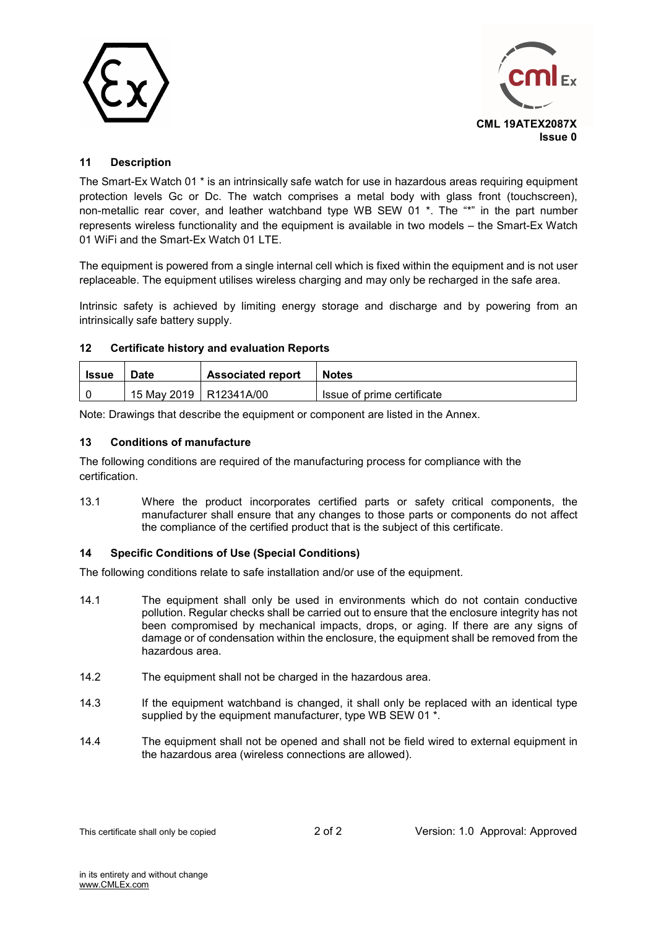



### **11 Description**

The Smart-Ex Watch 01 \* is an intrinsically safe watch for use in hazardous areas requiring equipment protection levels Gc or Dc. The watch comprises a metal body with glass front (touchscreen), non-metallic rear cover, and leather watchband type WB SEW 01 \*. The "\*" in the part number represents wireless functionality and the equipment is available in two models – the Smart-Ex Watch 01 WiFi and the Smart-Fx Watch 01 LTF

The equipment is powered from a single internal cell which is fixed within the equipment and is not user replaceable. The equipment utilises wireless charging and may only be recharged in the safe area.

Intrinsic safety is achieved by limiting energy storage and discharge and by powering from an intrinsically safe battery supply.

#### **12 Certificate history and evaluation Reports**

| <b>Issue</b> | Date                     | <b>Associated report</b> | <b>Notes</b>               |
|--------------|--------------------------|--------------------------|----------------------------|
|              | 15 May 2019   R12341A/00 |                          | Issue of prime certificate |

Note: Drawings that describe the equipment or component are listed in the Annex.

#### **13 Conditions of manufacture**

The following conditions are required of the manufacturing process for compliance with the certification.

13.1 Where the product incorporates certified parts or safety critical components, the manufacturer shall ensure that any changes to those parts or components do not affect the compliance of the certified product that is the subject of this certificate.

#### **14 Specific Conditions of Use (Special Conditions)**

The following conditions relate to safe installation and/or use of the equipment.

- 14.1 The equipment shall only be used in environments which do not contain conductive pollution. Regular checks shall be carried out to ensure that the enclosure integrity has not been compromised by mechanical impacts, drops, or aging. If there are any signs of damage or of condensation within the enclosure, the equipment shall be removed from the hazardous area.
- 14.2 The equipment shall not be charged in the hazardous area.
- 14.3 If the equipment watchband is changed, it shall only be replaced with an identical type supplied by the equipment manufacturer, type WB SEW 01  $*$ .
- 14.4 The equipment shall not be opened and shall not be field wired to external equipment in the hazardous area (wireless connections are allowed).